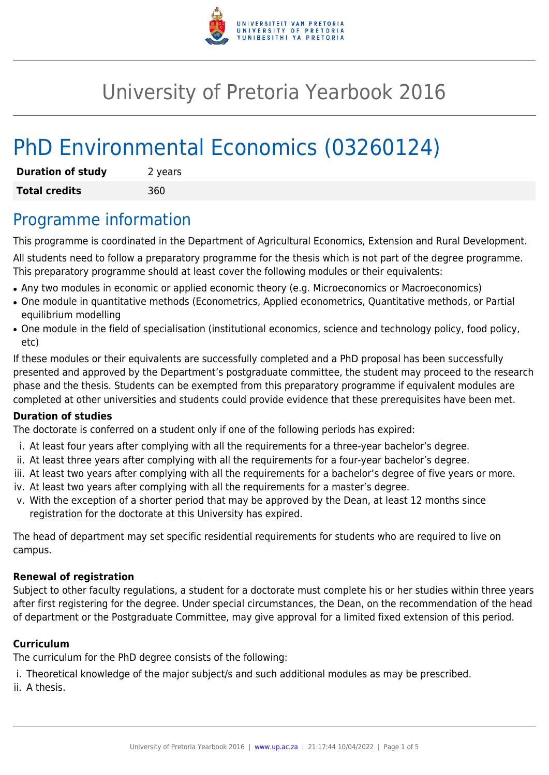

## University of Pretoria Yearbook 2016

# PhD Environmental Economics (03260124)

| <b>Duration of study</b> | 2 years |
|--------------------------|---------|
| <b>Total credits</b>     | 360     |

### Programme information

This programme is coordinated in the Department of Agricultural Economics, Extension and Rural Development.

All students need to follow a preparatory programme for the thesis which is not part of the degree programme. This preparatory programme should at least cover the following modules or their equivalents:

- Any two modules in economic or applied economic theory (e.g. Microeconomics or Macroeconomics)
- One module in quantitative methods (Econometrics, Applied econometrics, Quantitative methods, or Partial equilibrium modelling
- One module in the field of specialisation (institutional economics, science and technology policy, food policy, etc)

If these modules or their equivalents are successfully completed and a PhD proposal has been successfully presented and approved by the Department's postgraduate committee, the student may proceed to the research phase and the thesis. Students can be exempted from this preparatory programme if equivalent modules are completed at other universities and students could provide evidence that these prerequisites have been met.

#### **Duration of studies**

The doctorate is conferred on a student only if one of the following periods has expired:

- i. At least four years after complying with all the requirements for a three-year bachelor's degree.
- ii. At least three years after complying with all the requirements for a four-year bachelor's degree.
- iii. At least two years after complying with all the requirements for a bachelor's degree of five years or more.
- iv. At least two years after complying with all the requirements for a master's degree.
- v. With the exception of a shorter period that may be approved by the Dean, at least 12 months since registration for the doctorate at this University has expired.

The head of department may set specific residential requirements for students who are required to live on campus.

#### **Renewal of registration**

Subject to other faculty regulations, a student for a doctorate must complete his or her studies within three years after first registering for the degree. Under special circumstances, the Dean, on the recommendation of the head of department or the Postgraduate Committee, may give approval for a limited fixed extension of this period.

#### **Curriculum**

The curriculum for the PhD degree consists of the following:

- i. Theoretical knowledge of the major subject/s and such additional modules as may be prescribed.
- ii. A thesis.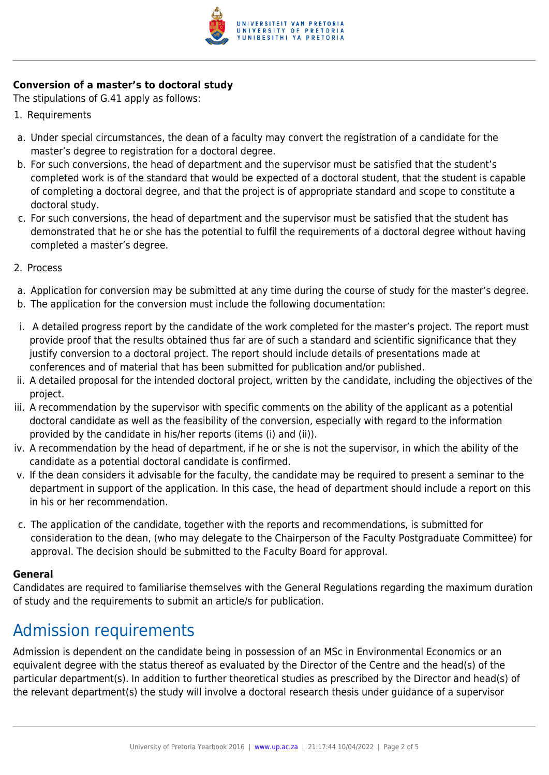

#### **Conversion of a master's to doctoral study**

The stipulations of G.41 apply as follows:

- 1. Requirements
- a. Under special circumstances, the dean of a faculty may convert the registration of a candidate for the master's degree to registration for a doctoral degree.
- b. For such conversions, the head of department and the supervisor must be satisfied that the student's completed work is of the standard that would be expected of a doctoral student, that the student is capable of completing a doctoral degree, and that the project is of appropriate standard and scope to constitute a doctoral study.
- c. For such conversions, the head of department and the supervisor must be satisfied that the student has demonstrated that he or she has the potential to fulfil the requirements of a doctoral degree without having completed a master's degree.
- 2. Process
- a. Application for conversion may be submitted at any time during the course of study for the master's degree.
- b. The application for the conversion must include the following documentation:
- i. A detailed progress report by the candidate of the work completed for the master's project. The report must provide proof that the results obtained thus far are of such a standard and scientific significance that they justify conversion to a doctoral project. The report should include details of presentations made at conferences and of material that has been submitted for publication and/or published.
- ii. A detailed proposal for the intended doctoral project, written by the candidate, including the objectives of the project.
- iii. A recommendation by the supervisor with specific comments on the ability of the applicant as a potential doctoral candidate as well as the feasibility of the conversion, especially with regard to the information provided by the candidate in his/her reports (items (i) and (ii)).
- iv. A recommendation by the head of department, if he or she is not the supervisor, in which the ability of the candidate as a potential doctoral candidate is confirmed.
- v. If the dean considers it advisable for the faculty, the candidate may be required to present a seminar to the department in support of the application. In this case, the head of department should include a report on this in his or her recommendation.
- c. The application of the candidate, together with the reports and recommendations, is submitted for consideration to the dean, (who may delegate to the Chairperson of the Faculty Postgraduate Committee) for approval. The decision should be submitted to the Faculty Board for approval.

#### **General**

Candidates are required to familiarise themselves with the General Regulations regarding the maximum duration of study and the requirements to submit an article/s for publication.

### Admission requirements

Admission is dependent on the candidate being in possession of an MSc in Environmental Economics or an equivalent degree with the status thereof as evaluated by the Director of the Centre and the head(s) of the particular department(s). In addition to further theoretical studies as prescribed by the Director and head(s) of the relevant department(s) the study will involve a doctoral research thesis under guidance of a supervisor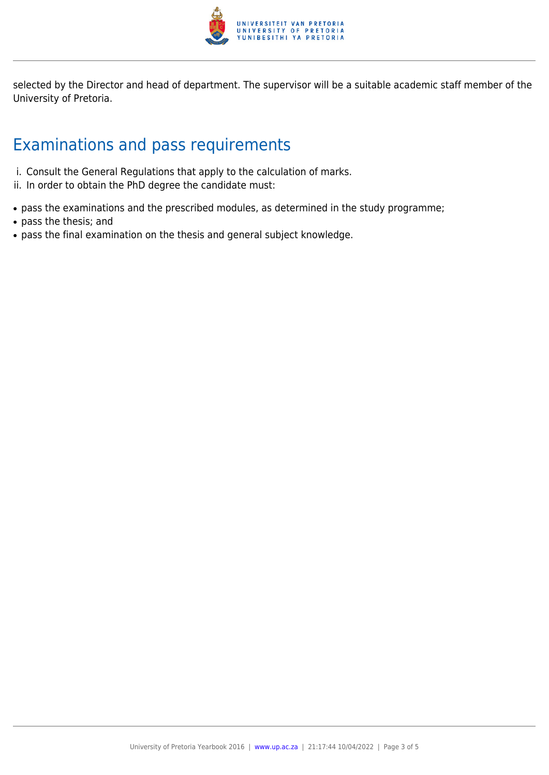

selected by the Director and head of department. The supervisor will be a suitable academic staff member of the University of Pretoria.

### Examinations and pass requirements

- i. Consult the General Regulations that apply to the calculation of marks.
- ii. In order to obtain the PhD degree the candidate must:
- pass the examinations and the prescribed modules, as determined in the study programme;
- pass the thesis; and
- pass the final examination on the thesis and general subject knowledge.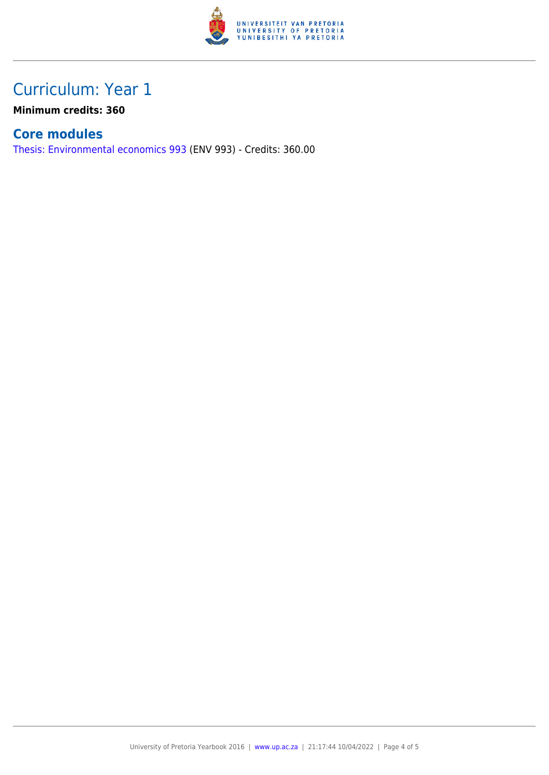

### Curriculum: Year 1

**Minimum credits: 360**

#### **Core modules**

[Thesis: Environmental economics 993](https://www.up.ac.za/faculty-of-education/yearbooks/2016/modules/view/ENV 993) (ENV 993) - Credits: 360.00